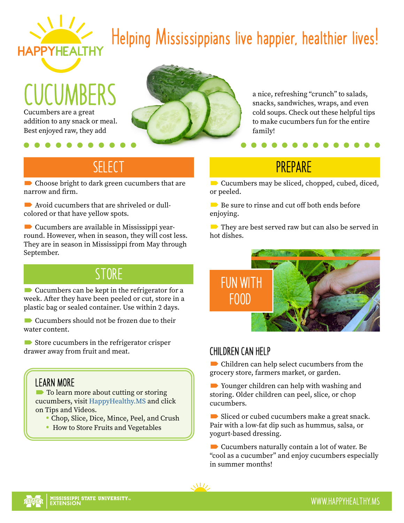

# **Helping Mississippians live happier, healthier lives!**

**CUCUMBERS** Cucumbers are a great addition to any snack or meal. Best enjoyed raw, they add



a nice, refreshing "crunch" to salads, snacks, sandwiches, wraps, and even cold soups. Check out these helpful tips to make cucumbers fun for the entire family!

### **SELECT**

Choose bright to dark green cucumbers that are narrow and firm.

■ Avoid cucumbers that are shriveled or dullcolored or that have yellow spots.

 Cucumbers are available in Mississippi yearround. However, when in season, they will cost less. They are in season in Mississippi from May through September.

### **STORE**

 $\blacksquare$  Cucumbers can be kept in the refrigerator for a week. After they have been peeled or cut, store in a plastic bag or sealed container. Use within 2 days.

Cucumbers should not be frozen due to their water content.

**■** Store cucumbers in the refrigerator crisper drawer away from fruit and meat.

#### **LEARN MORE**

**■** To learn more about cutting or storing cucumbers, visit [HappyHealthy.MS](http://HappyHealthy.MS) and click on Tips and Videos.

- Chop, Slice, Dice, Mince, Peel, and Crush
- How to Store Fruits and Vegetables

### **PREPARE**

**■** Cucumbers may be sliced, chopped, cubed, diced, or peeled.

 $\blacksquare$  Be sure to rinse and cut off both ends before enjoying.

 $\blacksquare$  They are best served raw but can also be served in hot dishes.



### **CHILDREN CAN HELP**

 Children can help select cucumbers from the grocery store, farmers market, or garden.

■ Younger children can help with washing and storing. Older children can peel, slice, or chop cucumbers.

Sliced or cubed cucumbers make a great snack. Pair with a low-fat dip such as hummus, salsa, or yogurt-based dressing.

■ Cucumbers naturally contain a lot of water. Be "cool as a cucumber" and enjoy cucumbers especially in summer months!